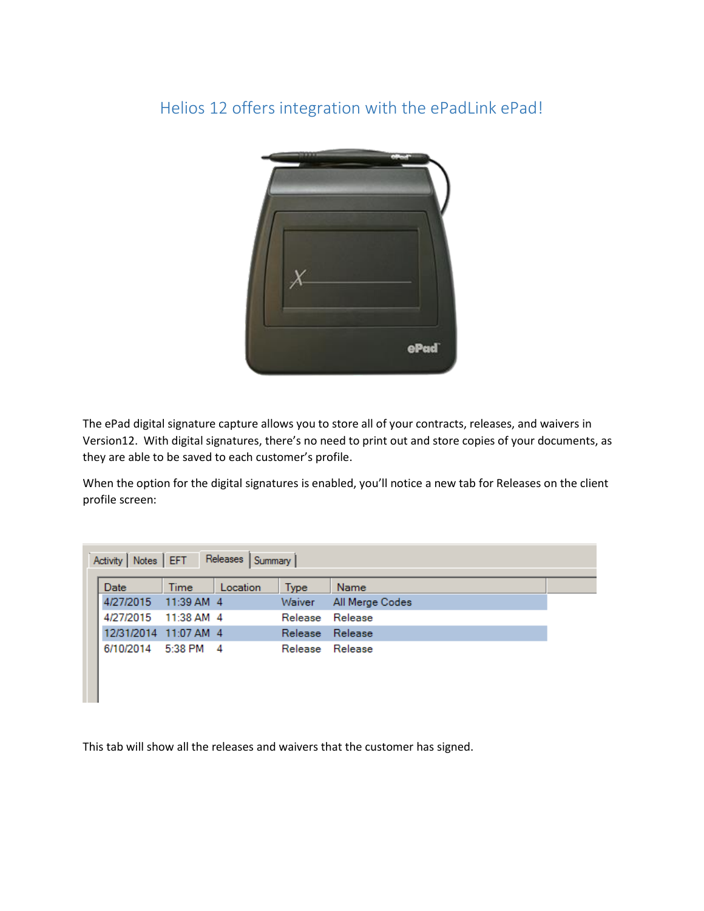## Helios 12 offers integration with the ePadLink ePad!



The ePad digital signature capture allows you to store all of your contracts, releases, and waivers in Version12. With digital signatures, there's no need to print out and store copies of your documents, as they are able to be saved to each customer's profile.

When the option for the digital signatures is enabled, you'll notice a new tab for Releases on the client profile screen:

| 4/27/2015             | 11:39 AM 4 |                |                 |  |
|-----------------------|------------|----------------|-----------------|--|
|                       |            | Waiver         | All Merge Codes |  |
| 4/27/2015             | 11:38 AM 4 | Release        | Release         |  |
| 12/31/2014 11:07 AM 4 |            | <b>Release</b> | Release         |  |
| 6/10/2014             | 5:38 PM 4  | Release        | Release         |  |

This tab will show all the releases and waivers that the customer has signed.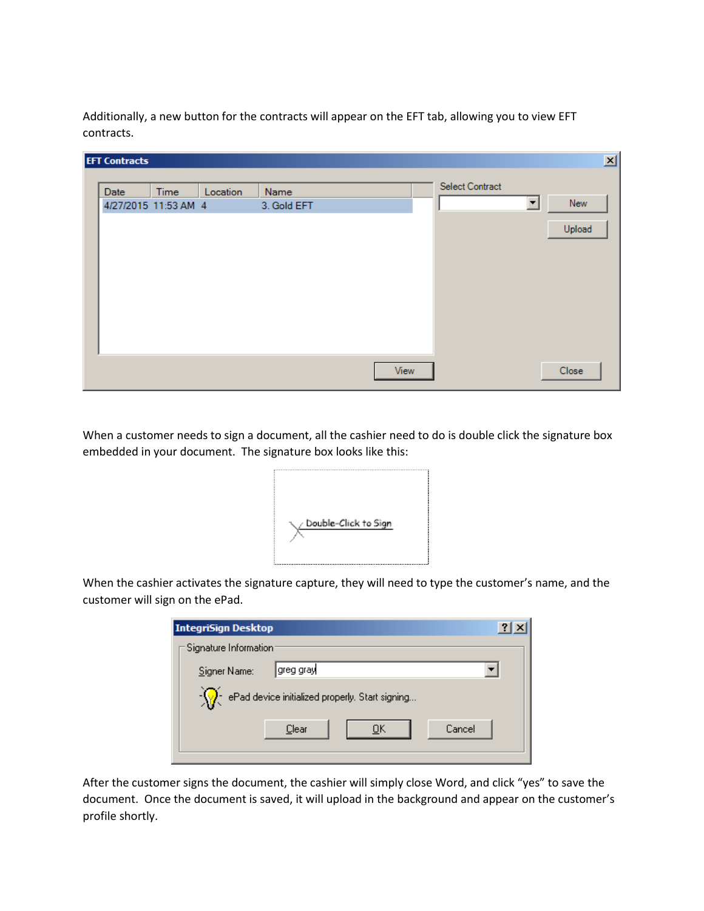Additionally, a new button for the contracts will appear on the EFT tab, allowing you to view EFT contracts.

| <b>EFT Contracts</b>         |      |          |                     |      |                        |                      |               | 区 |
|------------------------------|------|----------|---------------------|------|------------------------|----------------------|---------------|---|
| Date<br>4/27/2015 11:53 AM 4 | Time | Location | Name<br>3. Gold EFT |      | <b>Select Contract</b> | $\blacktriangledown$ | New<br>Upload |   |
|                              |      |          |                     | View |                        |                      | Close         |   |

When a customer needs to sign a document, all the cashier need to do is double click the signature box embedded in your document. The signature box looks like this:



When the cashier activates the signature capture, they will need to type the customer's name, and the customer will sign on the ePad.

|                                                 | <b>IntegriSign Desktop</b> |  |  |  |  |  |  |  |  |  |
|-------------------------------------------------|----------------------------|--|--|--|--|--|--|--|--|--|
|                                                 | -Signature Information:    |  |  |  |  |  |  |  |  |  |
|                                                 | greg gray <br>Signer Name: |  |  |  |  |  |  |  |  |  |
| ePad device initialized properly. Start signing |                            |  |  |  |  |  |  |  |  |  |
|                                                 | Cancel<br>Clear<br>OΚ      |  |  |  |  |  |  |  |  |  |
|                                                 |                            |  |  |  |  |  |  |  |  |  |

After the customer signs the document, the cashier will simply close Word, and click "yes" to save the document. Once the document is saved, it will upload in the background and appear on the customer's profile shortly.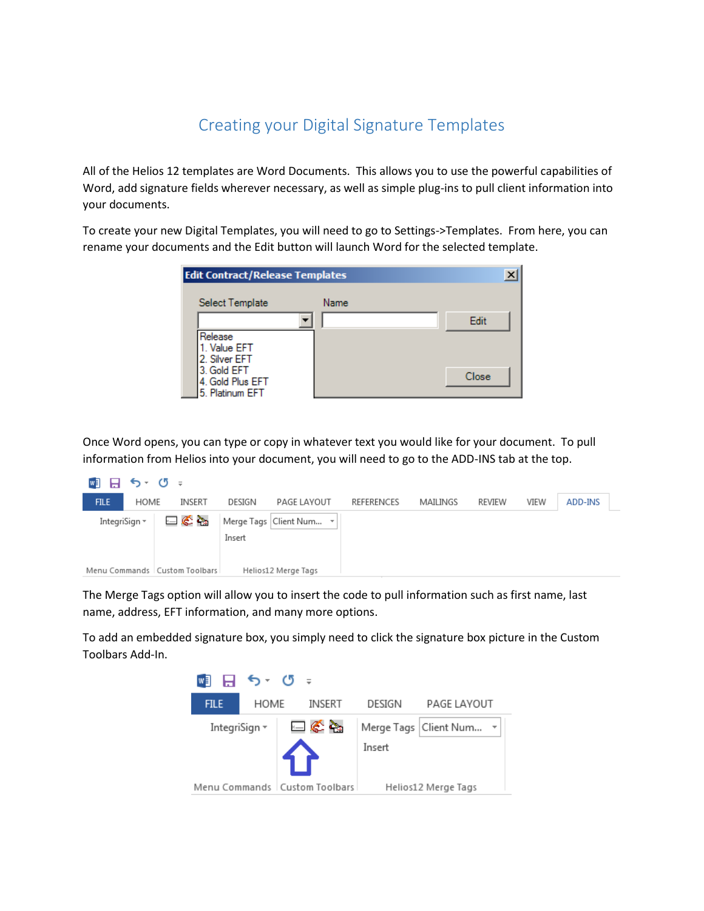## Creating your Digital Signature Templates

All of the Helios 12 templates are Word Documents. This allows you to use the powerful capabilities of Word, add signature fields wherever necessary, as well as simple plug-ins to pull client information into your documents.

To create your new Digital Templates, you will need to go to Settings->Templates. From here, you can rename your documents and the Edit button will launch Word for the selected template.

| <b>Edit Contract/Release Templates</b> |      |       |  |
|----------------------------------------|------|-------|--|
| Select Template                        | Name |       |  |
|                                        |      | Edit  |  |
| Release                                |      |       |  |
| I. Value EFT<br>2. Silver EFT          |      |       |  |
| 3. Gold EFT<br>4. Gold Plus EFT        |      | Close |  |
| 5. Platinum EFT                        |      |       |  |

Once Word opens, you can type or copy in whatever text you would like for your document. To pull information from Helios into your document, you will need to go to the ADD-INS tab at the top.

| WE H          | $5 - 0 =$ |                                 |        |                           |                   |          |        |      |         |
|---------------|-----------|---------------------------------|--------|---------------------------|-------------------|----------|--------|------|---------|
| <b>FILE</b>   | HOME      | INSERT                          | DESIGN | PAGE LAYOUT               | <b>REFERENCES</b> | MAILINGS | REVIEW | VIEW | ADD-INS |
| IntegriSign * |           | ⊟∉`à                            | Insert | Merge Tags   Client Num ~ |                   |          |        |      |         |
|               |           | Menu Commands   Custom Toolbars |        | Helios12 Merge Tags       |                   |          |        |      |         |

The Merge Tags option will allow you to insert the code to pull information such as first name, last name, address, EFT information, and many more options.

To add an embedded signature box, you simply need to click the signature box picture in the Custom Toolbars Add-In.